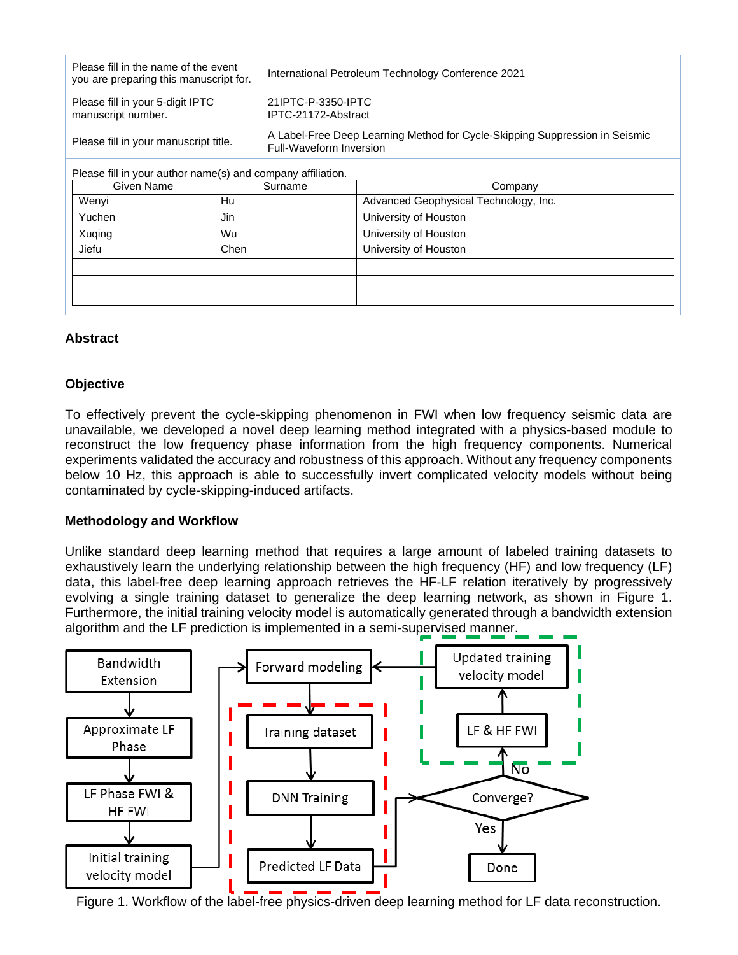| Please fill in the name of the event<br>you are preparing this manuscript for. | International Petroleum Technology Conference 2021                                                     |  |
|--------------------------------------------------------------------------------|--------------------------------------------------------------------------------------------------------|--|
| Please fill in your 5-digit IPTC<br>manuscript number.                         | 21IPTC-P-3350-IPTC<br>IPTC-21172-Abstract                                                              |  |
| Please fill in your manuscript title.                                          | A Label-Free Deep Learning Method for Cycle-Skipping Suppression in Seismic<br>Full-Waveform Inversion |  |
| Please fill in your author name(s) and company affiliation.                    |                                                                                                        |  |

| Given Name | Surname | Company                               |
|------------|---------|---------------------------------------|
| Wenyi      | Hu      | Advanced Geophysical Technology, Inc. |
| Yuchen     | Jin     | University of Houston                 |
| Xuqing     | Wu      | University of Houston                 |
| Jiefu      | Chen    | University of Houston                 |
|            |         |                                       |
|            |         |                                       |
|            |         |                                       |

# **Abstract**

# **Objective**

To effectively prevent the cycle-skipping phenomenon in FWI when low frequency seismic data are unavailable, we developed a novel deep learning method integrated with a physics-based module to reconstruct the low frequency phase information from the high frequency components. Numerical experiments validated the accuracy and robustness of this approach. Without any frequency components below 10 Hz, this approach is able to successfully invert complicated velocity models without being contaminated by cycle-skipping-induced artifacts.

## **Methodology and Workflow**

Unlike standard deep learning method that requires a large amount of labeled training datasets to exhaustively learn the underlying relationship between the high frequency (HF) and low frequency (LF) data, this label-free deep learning approach retrieves the HF-LF relation iteratively by progressively evolving a single training dataset to generalize the deep learning network, as shown in Figure 1. Furthermore, the initial training velocity model is automatically generated through a bandwidth extension algorithm and the LF prediction is implemented in a semi-supervised manner.



Figure 1. Workflow of the label-free physics-driven deep learning method for LF data reconstruction.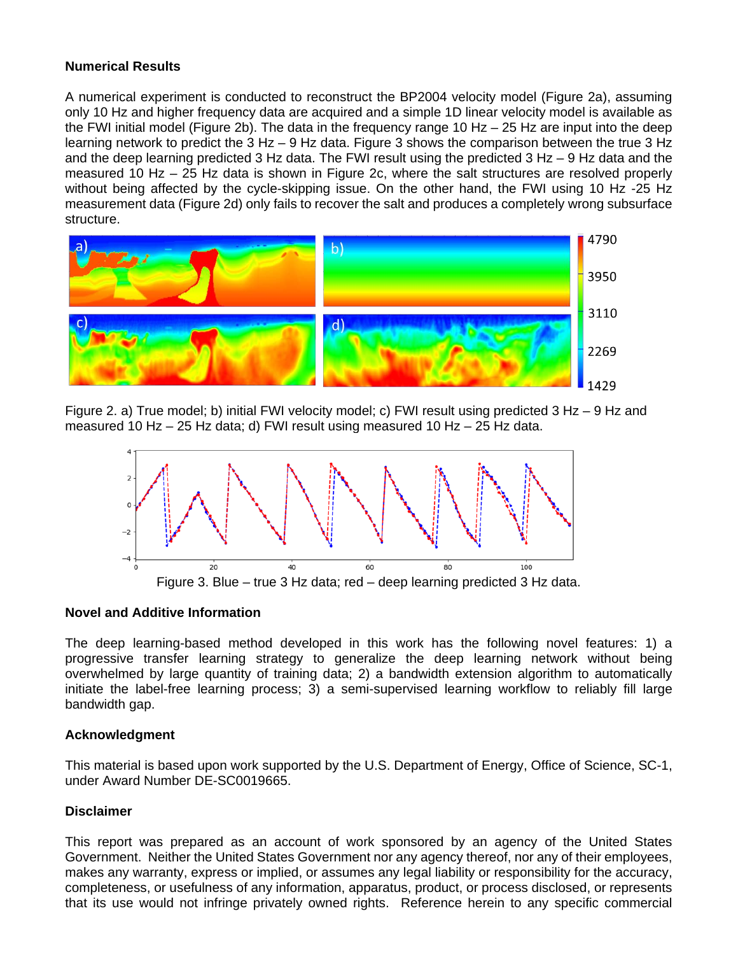# **Numerical Results**

A numerical experiment is conducted to reconstruct the BP2004 velocity model (Figure 2a), assuming only 10 Hz and higher frequency data are acquired and a simple 1D linear velocity model is available as the FWI initial model (Figure 2b). The data in the frequency range 10 Hz  $-$  25 Hz are input into the deep learning network to predict the 3 Hz – 9 Hz data. Figure 3 shows the comparison between the true 3 Hz and the deep learning predicted 3 Hz data. The FWI result using the predicted 3 Hz – 9 Hz data and the measured 10 Hz – 25 Hz data is shown in Figure 2c, where the salt structures are resolved properly without being affected by the cycle-skipping issue. On the other hand, the FWI using 10 Hz -25 Hz measurement data (Figure 2d) only fails to recover the salt and produces a completely wrong subsurface structure.



Figure 2. a) True model; b) initial FWI velocity model; c) FWI result using predicted 3 Hz – 9 Hz and measured 10 Hz – 25 Hz data; d) FWI result using measured 10 Hz – 25 Hz data.



#### **Novel and Additive Information**

The deep learning-based method developed in this work has the following novel features: 1) a progressive transfer learning strategy to generalize the deep learning network without being overwhelmed by large quantity of training data; 2) a bandwidth extension algorithm to automatically initiate the label-free learning process; 3) a semi-supervised learning workflow to reliably fill large bandwidth gap.

## **Acknowledgment**

This material is based upon work supported by the U.S. Department of Energy, Office of Science, SC-1, under Award Number DE-SC0019665.

## **Disclaimer**

This report was prepared as an account of work sponsored by an agency of the United States Government. Neither the United States Government nor any agency thereof, nor any of their employees, makes any warranty, express or implied, or assumes any legal liability or responsibility for the accuracy, completeness, or usefulness of any information, apparatus, product, or process disclosed, or represents that its use would not infringe privately owned rights. Reference herein to any specific commercial